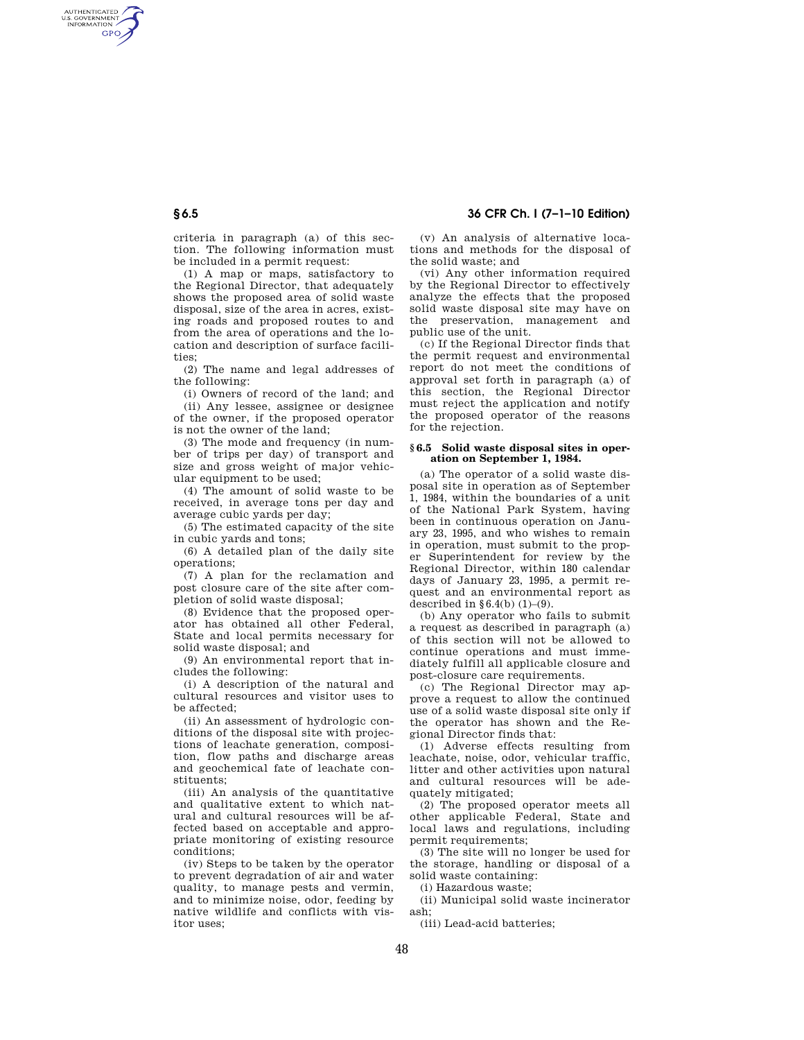# **§ 6.5 36 CFR Ch. I (7–1–10 Edition)**

criteria in paragraph (a) of this section. The following information must be included in a permit request:

(1) A map or maps, satisfactory to the Regional Director, that adequately shows the proposed area of solid waste disposal, size of the area in acres, existing roads and proposed routes to and from the area of operations and the location and description of surface facilities;

(2) The name and legal addresses of the following:

(i) Owners of record of the land; and (ii) Any lessee, assignee or designee of the owner, if the proposed operator is not the owner of the land;

(3) The mode and frequency (in number of trips per day) of transport and size and gross weight of major vehicular equipment to be used;

(4) The amount of solid waste to be received, in average tons per day and average cubic yards per day;

(5) The estimated capacity of the site in cubic yards and tons;

(6) A detailed plan of the daily site operations;

(7) A plan for the reclamation and post closure care of the site after completion of solid waste disposal;

(8) Evidence that the proposed operator has obtained all other Federal, State and local permits necessary for solid waste disposal; and

(9) An environmental report that includes the following:

(i) A description of the natural and cultural resources and visitor uses to be affected;

(ii) An assessment of hydrologic conditions of the disposal site with projections of leachate generation, composition, flow paths and discharge areas and geochemical fate of leachate constituents;

(iii) An analysis of the quantitative and qualitative extent to which natural and cultural resources will be affected based on acceptable and appropriate monitoring of existing resource conditions;

(iv) Steps to be taken by the operator to prevent degradation of air and water quality, to manage pests and vermin, and to minimize noise, odor, feeding by native wildlife and conflicts with visitor uses;

(v) An analysis of alternative locations and methods for the disposal of the solid waste; and

(vi) Any other information required by the Regional Director to effectively analyze the effects that the proposed solid waste disposal site may have on the preservation, management and public use of the unit.

(c) If the Regional Director finds that the permit request and environmental report do not meet the conditions of approval set forth in paragraph (a) of this section, the Regional Director must reject the application and notify the proposed operator of the reasons for the rejection.

## **§ 6.5 Solid waste disposal sites in operation on September 1, 1984.**

(a) The operator of a solid waste disposal site in operation as of September 1, 1984, within the boundaries of a unit of the National Park System, having been in continuous operation on January 23, 1995, and who wishes to remain in operation, must submit to the proper Superintendent for review by the Regional Director, within 180 calendar days of January 23, 1995, a permit request and an environmental report as described in  $$6,4(h)$   $(1)$ – $(9)$ .

(b) Any operator who fails to submit a request as described in paragraph (a) of this section will not be allowed to continue operations and must immediately fulfill all applicable closure and post-closure care requirements.

(c) The Regional Director may approve a request to allow the continued use of a solid waste disposal site only if the operator has shown and the Regional Director finds that:

(1) Adverse effects resulting from leachate, noise, odor, vehicular traffic, litter and other activities upon natural and cultural resources will be adequately mitigated;

(2) The proposed operator meets all other applicable Federal, State and local laws and regulations, including permit requirements;

(3) The site will no longer be used for the storage, handling or disposal of a solid waste containing:

(i) Hazardous waste;

(ii) Municipal solid waste incinerator ash;

(iii) Lead-acid batteries;

AUTHENTICATED<br>U.S. GOVERNMENT<br>INFORMATION **GPO**